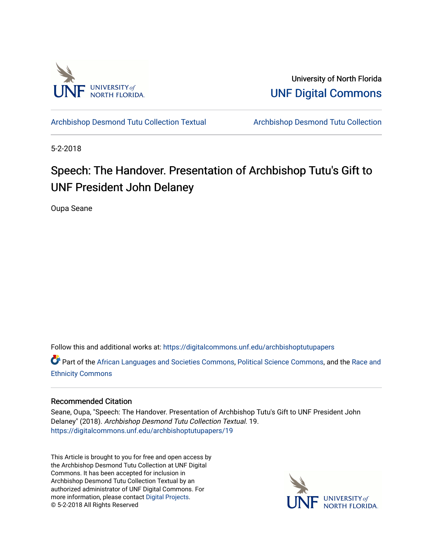

University of North Florida [UNF Digital Commons](https://digitalcommons.unf.edu/) 

[Archbishop Desmond Tutu Collection Textual](https://digitalcommons.unf.edu/archbishoptutupapers) [Archbishop Desmond Tutu Collection](https://digitalcommons.unf.edu/archbishoptutu) 

5-2-2018

## Speech: The Handover. Presentation of Archbishop Tutu's Gift to UNF President John Delaney

Oupa Seane

Follow this and additional works at: [https://digitalcommons.unf.edu/archbishoptutupapers](https://digitalcommons.unf.edu/archbishoptutupapers?utm_source=digitalcommons.unf.edu%2Farchbishoptutupapers%2F19&utm_medium=PDF&utm_campaign=PDFCoverPages)

Part of the [African Languages and Societies Commons,](http://network.bepress.com/hgg/discipline/476?utm_source=digitalcommons.unf.edu%2Farchbishoptutupapers%2F19&utm_medium=PDF&utm_campaign=PDFCoverPages) [Political Science Commons,](http://network.bepress.com/hgg/discipline/386?utm_source=digitalcommons.unf.edu%2Farchbishoptutupapers%2F19&utm_medium=PDF&utm_campaign=PDFCoverPages) and the [Race and](http://network.bepress.com/hgg/discipline/426?utm_source=digitalcommons.unf.edu%2Farchbishoptutupapers%2F19&utm_medium=PDF&utm_campaign=PDFCoverPages)  [Ethnicity Commons](http://network.bepress.com/hgg/discipline/426?utm_source=digitalcommons.unf.edu%2Farchbishoptutupapers%2F19&utm_medium=PDF&utm_campaign=PDFCoverPages) 

## Recommended Citation

Seane, Oupa, "Speech: The Handover. Presentation of Archbishop Tutu's Gift to UNF President John Delaney" (2018). Archbishop Desmond Tutu Collection Textual. 19. [https://digitalcommons.unf.edu/archbishoptutupapers/19](https://digitalcommons.unf.edu/archbishoptutupapers/19?utm_source=digitalcommons.unf.edu%2Farchbishoptutupapers%2F19&utm_medium=PDF&utm_campaign=PDFCoverPages) 

This Article is brought to you for free and open access by the Archbishop Desmond Tutu Collection at UNF Digital Commons. It has been accepted for inclusion in Archbishop Desmond Tutu Collection Textual by an authorized administrator of UNF Digital Commons. For more information, please contact [Digital Projects](mailto:lib-digital@unf.edu). © 5-2-2018 All Rights Reserved